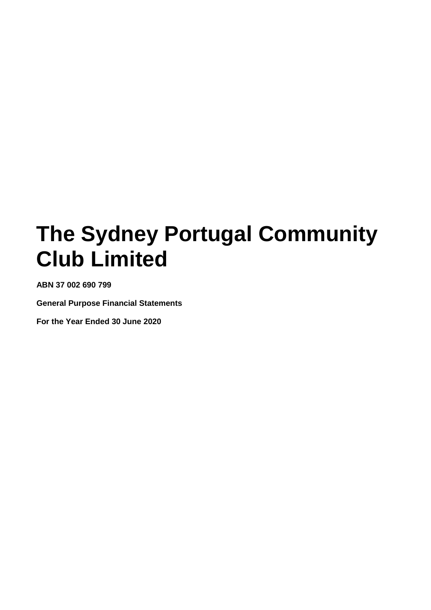**ABN 37 002 690 799**

**General Purpose Financial Statements**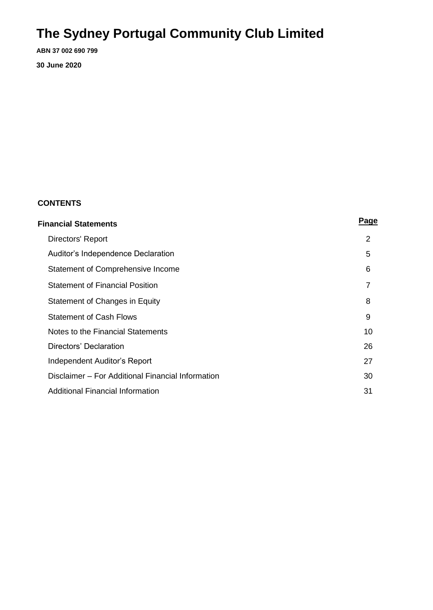**ABN 37 002 690 799**

**30 June 2020**

### **CONTENTS**

| Financial Statements                              | <b>Page</b>    |
|---------------------------------------------------|----------------|
| Directors' Report                                 | $\overline{2}$ |
| Auditor's Independence Declaration                | 5              |
| Statement of Comprehensive Income                 | 6              |
| <b>Statement of Financial Position</b>            | 7              |
| Statement of Changes in Equity                    | 8              |
| <b>Statement of Cash Flows</b>                    | 9              |
| Notes to the Financial Statements                 | 10             |
| Directors' Declaration                            | 26             |
| Independent Auditor's Report                      | 27             |
| Disclaimer – For Additional Financial Information | 30             |
| Additional Financial Information                  | 31             |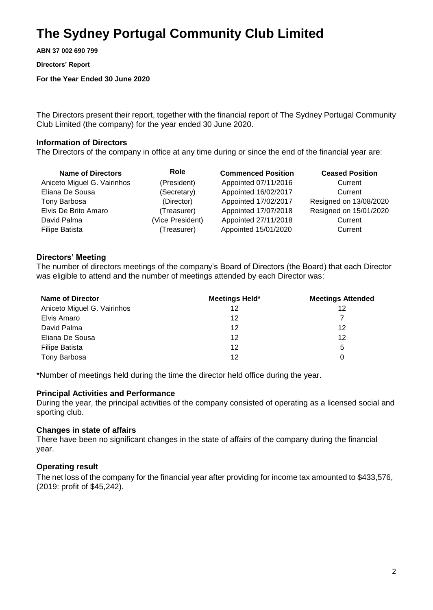**ABN 37 002 690 799**

**Directors' Report** 

**For the Year Ended 30 June 2020**

The Directors present their report, together with the financial report of The Sydney Portugal Community Club Limited (the company) for the year ended 30 June 2020.

### **Information of Directors**

The Directors of the company in office at any time during or since the end of the financial year are:

| <b>Name of Directors</b>    | Role             | <b>Commenced Position</b> | <b>Ceased Position</b> |
|-----------------------------|------------------|---------------------------|------------------------|
| Aniceto Miguel G. Vairinhos | (President)      | Appointed 07/11/2016      | Current                |
| Eliana De Sousa             | (Secretary)      | Appointed 16/02/2017      | Current                |
| Tony Barbosa                | (Director)       | Appointed 17/02/2017      | Resigned on 13/08/2020 |
| Elvis De Brito Amaro        | (Treasurer)      | Appointed 17/07/2018      | Resigned on 15/01/2020 |
| David Palma                 | (Vice President) | Appointed 27/11/2018      | Current                |
| <b>Filipe Batista</b>       | (Treasurer)      | Appointed 15/01/2020      | Current                |

### **Directors' Meeting**

The number of directors meetings of the company's Board of Directors (the Board) that each Director was eligible to attend and the number of meetings attended by each Director was:

| <b>Name of Director</b>     | <b>Meetings Held*</b> | <b>Meetings Attended</b> |
|-----------------------------|-----------------------|--------------------------|
| Aniceto Miguel G. Vairinhos | 12                    | 12                       |
| Elvis Amaro                 | 12                    |                          |
| David Palma                 | 12                    | 12                       |
| Eliana De Sousa             | 12                    | 12                       |
| <b>Filipe Batista</b>       | 12                    | 5                        |
| Tony Barbosa                | 12                    |                          |

\*Number of meetings held during the time the director held office during the year.

### **Principal Activities and Performance**

During the year, the principal activities of the company consisted of operating as a licensed social and sporting club.

### **Changes in state of affairs**

There have been no significant changes in the state of affairs of the company during the financial year.

### **Operating result**

The net loss of the company for the financial year after providing for income tax amounted to \$433,576, (2019: profit of \$45,242).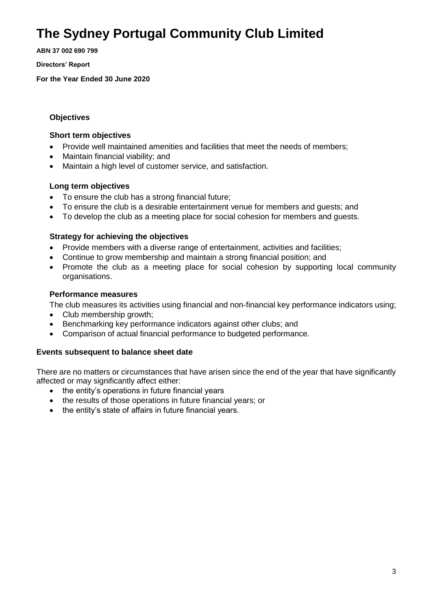**ABN 37 002 690 799**

**Directors' Report** 

**For the Year Ended 30 June 2020**

### **Objectives**

### **Short term objectives**

- Provide well maintained amenities and facilities that meet the needs of members;
- Maintain financial viability; and
- Maintain a high level of customer service, and satisfaction.

### **Long term objectives**

- To ensure the club has a strong financial future;
- To ensure the club is a desirable entertainment venue for members and guests; and
- To develop the club as a meeting place for social cohesion for members and guests.

### **Strategy for achieving the objectives**

- Provide members with a diverse range of entertainment, activities and facilities;
- Continue to grow membership and maintain a strong financial position; and
- Promote the club as a meeting place for social cohesion by supporting local community organisations.

### **Performance measures**

The club measures its activities using financial and non-financial key performance indicators using;

- Club membership growth;
- Benchmarking key performance indicators against other clubs; and
- Comparison of actual financial performance to budgeted performance.

### **Events subsequent to balance sheet date**

There are no matters or circumstances that have arisen since the end of the year that have significantly affected or may significantly affect either:

- the entity's operations in future financial years
- the results of those operations in future financial years; or
- the entity's state of affairs in future financial years.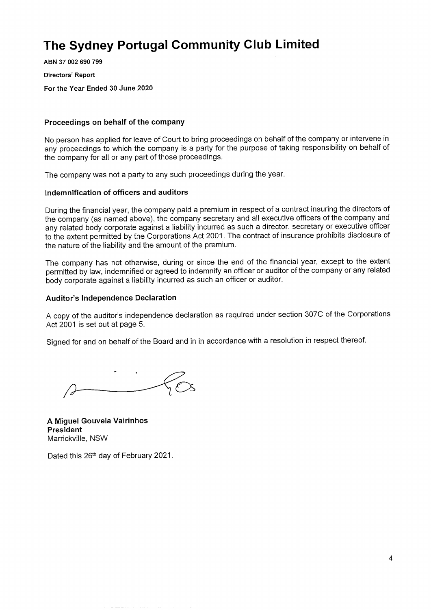ABN 37 002 690 799 Directors' Report For the Year Ended 30 June 2020

#### Proceedings on behalf of the company

No person has applied for leave of Court to bring proceedings on behalf of the company or intervene in any proceedings to which the company is a party for the purpose of taking responsibility on behalf of the company for all or any part of those proceedings.

The company was not a party to any such proceedings during the year.

#### Indemnification of officers and auditors

During the financial year, the company paid a premium in respect of a contract insuring the directors of the company (as named above), the company secretary and all executive officers of the company and any related body corporate against a liability incurred as such a director, secretary or executive officer to the extent permitted by the Corporations Act 2001. The contract of insurance prohibits disclosure of the nature of the liability and the amount of the premium.

The company has not otherwise, during or since the end of the financial year, except to the extent permitted by law, indemnified or agreed to indemnify an officer or auditor of the company or any related body corporate against a liability incurred as such an officer or auditor.

#### **Auditor's Independence Declaration**

A copy of the auditor's independence declaration as required under section 307C of the Corporations Act 2001 is set out at page 5.

Signed for and on behalf of the Board and in in accordance with a resolution in respect thereof.

A Miguel Gouveia Vairinhos President Marrickville, NSW

Dated this 26th day of February 2021.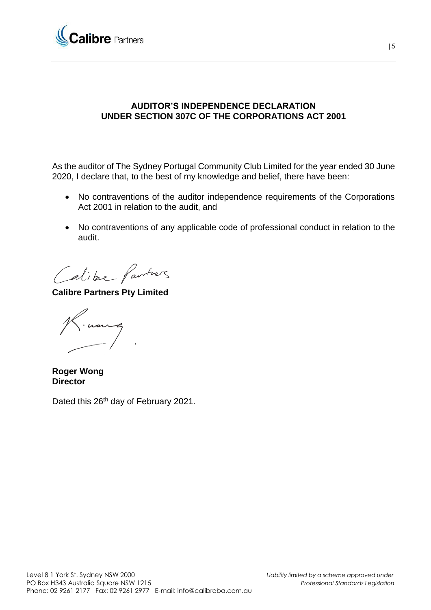

### **AUDITOR'S INDEPENDENCE DECLARATION UNDER SECTION 307C OF THE CORPORATIONS ACT 2001**

As the auditor of The Sydney Portugal Community Club Limited for the year ended 30 June 2020, I declare that, to the best of my knowledge and belief, there have been:

- No contraventions of the auditor independence requirements of the Corporations Act 2001 in relation to the audit, and
- No contraventions of any applicable code of professional conduct in relation to the audit.

Calibre Partners

**Calibre Partners Pty Limited**

**Roger Wong Director**

Dated this 26<sup>th</sup> day of February 2021.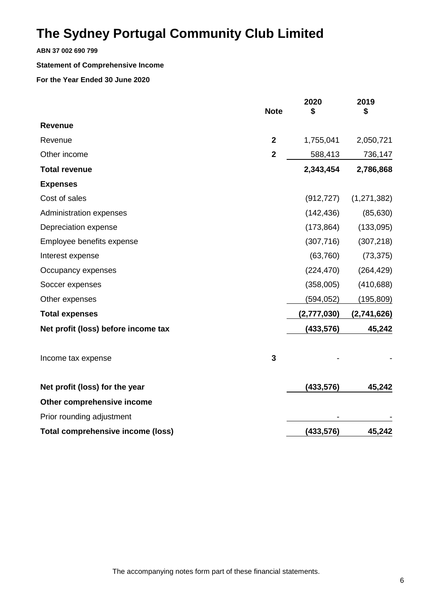**ABN 37 002 690 799**

#### **Statement of Comprehensive Income**

|                                          | <b>Note</b>    | 2020<br>\$  | 2019<br>\$  |
|------------------------------------------|----------------|-------------|-------------|
| <b>Revenue</b>                           |                |             |             |
| Revenue                                  | $\overline{2}$ | 1,755,041   | 2,050,721   |
| Other income                             | $\overline{2}$ | 588,413     | 736,147     |
| <b>Total revenue</b>                     |                | 2,343,454   | 2,786,868   |
| <b>Expenses</b>                          |                |             |             |
| Cost of sales                            |                | (912, 727)  | (1,271,382) |
| Administration expenses                  |                | (142, 436)  | (85, 630)   |
| Depreciation expense                     |                | (173, 864)  | (133,095)   |
| Employee benefits expense                |                | (307, 716)  | (307, 218)  |
| Interest expense                         |                | (63, 760)   | (73, 375)   |
| Occupancy expenses                       |                | (224, 470)  | (264, 429)  |
| Soccer expenses                          |                | (358,005)   | (410, 688)  |
| Other expenses                           |                | (594, 052)  | (195, 809)  |
| <b>Total expenses</b>                    |                | (2,777,030) | (2,741,626) |
| Net profit (loss) before income tax      |                | (433, 576)  | 45,242      |
| Income tax expense                       | 3              |             |             |
| Net profit (loss) for the year           |                | (433,576)   | 45,242      |
| Other comprehensive income               |                |             |             |
| Prior rounding adjustment                |                |             |             |
| <b>Total comprehensive income (loss)</b> |                | (433, 576)  | 45,242      |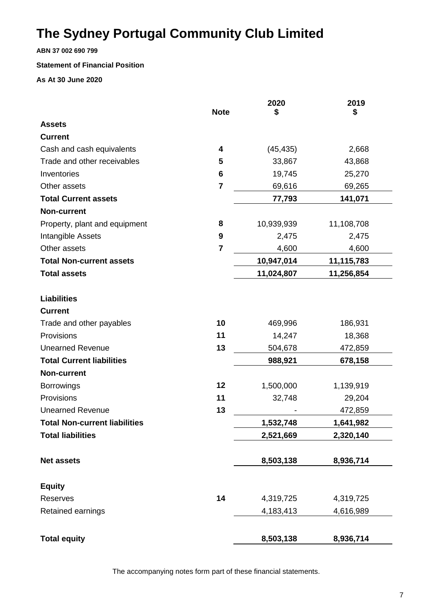**ABN 37 002 690 799**

### **Statement of Financial Position**

**As At 30 June 2020**

|                                      |                 | 2020       | 2019       |
|--------------------------------------|-----------------|------------|------------|
|                                      | <b>Note</b>     | \$         | \$         |
| <b>Assets</b>                        |                 |            |            |
| <b>Current</b>                       |                 |            |            |
| Cash and cash equivalents            | 4               | (45, 435)  | 2,668      |
| Trade and other receivables          | 5               | 33,867     | 43,868     |
| Inventories                          | $6\phantom{1}6$ | 19,745     | 25,270     |
| Other assets                         | $\overline{7}$  | 69,616     | 69,265     |
| <b>Total Current assets</b>          |                 | 77,793     | 141,071    |
| <b>Non-current</b>                   |                 |            |            |
| Property, plant and equipment        | 8               | 10,939,939 | 11,108,708 |
| Intangible Assets                    | 9               | 2,475      | 2,475      |
| Other assets                         | $\overline{7}$  | 4,600      | 4,600      |
| <b>Total Non-current assets</b>      |                 | 10,947,014 | 11,115,783 |
| <b>Total assets</b>                  |                 | 11,024,807 | 11,256,854 |
|                                      |                 |            |            |
| <b>Liabilities</b>                   |                 |            |            |
| <b>Current</b>                       |                 |            |            |
| Trade and other payables             | 10              | 469,996    | 186,931    |
| Provisions                           | 11              | 14,247     | 18,368     |
| <b>Unearned Revenue</b>              | 13              | 504,678    | 472,859    |
| <b>Total Current liabilities</b>     |                 | 988,921    | 678,158    |
| <b>Non-current</b>                   |                 |            |            |
| <b>Borrowings</b>                    | 12              | 1,500,000  | 1,139,919  |
| Provisions                           | 11              | 32,748     | 29,204     |
| <b>Unearned Revenue</b>              | 13              |            | 472,859    |
| <b>Total Non-current liabilities</b> |                 | 1,532,748  | 1,641,982  |
| <b>Total liabilities</b>             |                 | 2,521,669  | 2,320,140  |
| <b>Net assets</b>                    |                 | 8,503,138  | 8,936,714  |
|                                      |                 |            |            |
| <b>Equity</b>                        |                 |            |            |
| <b>Reserves</b>                      | 14              | 4,319,725  | 4,319,725  |
| Retained earnings                    |                 | 4,183,413  | 4,616,989  |
| <b>Total equity</b>                  |                 | 8,503,138  | 8,936,714  |

The accompanying notes form part of these financial statements.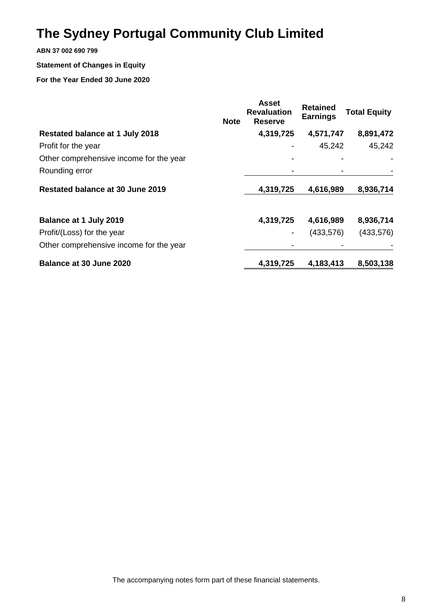### **ABN 37 002 690 799**

### **Statement of Changes in Equity**

### **For the Year Ended 30 June 2020**

|                                         | <b>Note</b> | <b>Asset</b><br><b>Revaluation</b><br><b>Reserve</b> | <b>Retained</b><br><b>Earnings</b> | <b>Total Equity</b> |
|-----------------------------------------|-------------|------------------------------------------------------|------------------------------------|---------------------|
| <b>Restated balance at 1 July 2018</b>  |             | 4,319,725                                            | 4,571,747                          | 8,891,472           |
| Profit for the year                     |             |                                                      | 45,242                             | 45,242              |
| Other comprehensive income for the year |             |                                                      |                                    |                     |
| Rounding error                          |             |                                                      |                                    |                     |
| Restated balance at 30 June 2019        |             | 4,319,725                                            | 4,616,989                          | 8,936,714           |
| <b>Balance at 1 July 2019</b>           |             | 4,319,725                                            | 4,616,989                          | 8,936,714           |
| Profit/(Loss) for the year              |             |                                                      | (433, 576)                         | (433, 576)          |
| Other comprehensive income for the year |             |                                                      |                                    |                     |
| Balance at 30 June 2020                 |             | 4,319,725                                            | 4,183,413                          | 8,503,138           |

The accompanying notes form part of these financial statements.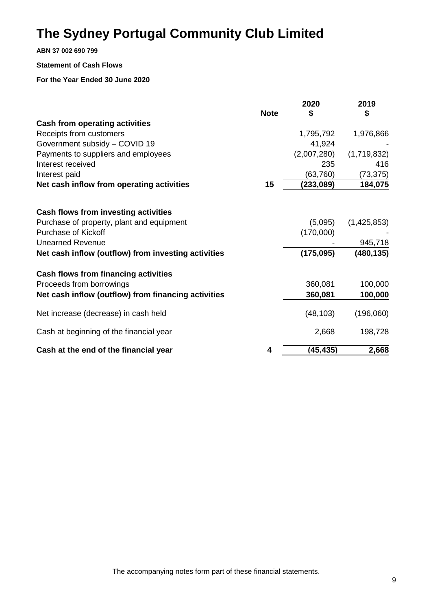**ABN 37 002 690 799**

#### **Statement of Cash Flows**

|                                                     | <b>Note</b> | 2020<br>\$  | 2019<br>\$  |
|-----------------------------------------------------|-------------|-------------|-------------|
| <b>Cash from operating activities</b>               |             |             |             |
| Receipts from customers                             |             | 1,795,792   | 1,976,866   |
| Government subsidy - COVID 19                       |             | 41,924      |             |
| Payments to suppliers and employees                 |             | (2,007,280) | (1,719,832) |
| Interest received                                   |             | 235         | 416         |
| Interest paid                                       |             | (63, 760)   | (73, 375)   |
| Net cash inflow from operating activities           | 15          | (233,089)   | 184,075     |
| Cash flows from investing activities                |             |             |             |
| Purchase of property, plant and equipment           |             | (5,095)     | (1,425,853) |
| <b>Purchase of Kickoff</b>                          |             | (170,000)   |             |
| <b>Unearned Revenue</b>                             |             |             | 945,718     |
| Net cash inflow (outflow) from investing activities |             | (175, 095)  | (480,135)   |
| <b>Cash flows from financing activities</b>         |             |             |             |
| Proceeds from borrowings                            |             | 360,081     | 100,000     |
| Net cash inflow (outflow) from financing activities |             | 360,081     | 100,000     |
| Net increase (decrease) in cash held                |             | (48, 103)   | (196,060)   |
| Cash at beginning of the financial year             |             | 2,668       | 198,728     |
| Cash at the end of the financial year               | 4           | (45, 435)   | 2,668       |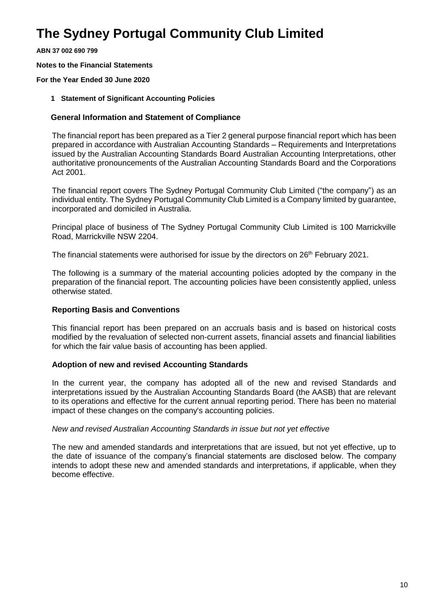**ABN 37 002 690 799**

**Notes to the Financial Statements**

**For the Year Ended 30 June 2020**

**1 Statement of Significant Accounting Policies** 

### **General Information and Statement of Compliance**

The financial report has been prepared as a Tier 2 general purpose financial report which has been prepared in accordance with Australian Accounting Standards – Requirements and Interpretations issued by the Australian Accounting Standards Board Australian Accounting Interpretations, other authoritative pronouncements of the Australian Accounting Standards Board and the Corporations Act 2001.

The financial report covers The Sydney Portugal Community Club Limited ("the company") as an individual entity. The Sydney Portugal Community Club Limited is a Company limited by guarantee, incorporated and domiciled in Australia.

Principal place of business of The Sydney Portugal Community Club Limited is 100 Marrickville Road, Marrickville NSW 2204.

The financial statements were authorised for issue by the directors on 26<sup>th</sup> February 2021.

The following is a summary of the material accounting policies adopted by the company in the preparation of the financial report. The accounting policies have been consistently applied, unless otherwise stated.

### **Reporting Basis and Conventions**

This financial report has been prepared on an accruals basis and is based on historical costs modified by the revaluation of selected non-current assets, financial assets and financial liabilities for which the fair value basis of accounting has been applied.

### **Adoption of new and revised Accounting Standards**

In the current year, the company has adopted all of the new and revised Standards and interpretations issued by the Australian Accounting Standards Board (the AASB) that are relevant to its operations and effective for the current annual reporting period. There has been no material impact of these changes on the company's accounting policies.

### *New and revised Australian Accounting Standards in issue but not yet effective*

The new and amended standards and interpretations that are issued, but not yet effective, up to the date of issuance of the company's financial statements are disclosed below. The company intends to adopt these new and amended standards and interpretations, if applicable, when they become effective.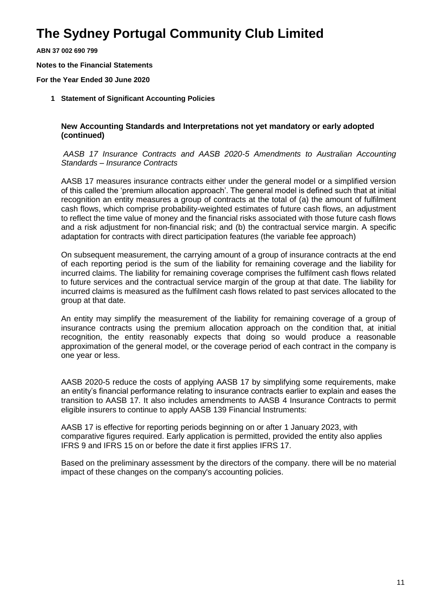**ABN 37 002 690 799**

**Notes to the Financial Statements**

**For the Year Ended 30 June 2020**

**1 Statement of Significant Accounting Policies** 

### **New Accounting Standards and Interpretations not yet mandatory or early adopted (continued)**

### *AASB 17 Insurance Contracts and AASB 2020-5 Amendments to Australian Accounting Standards – Insurance Contracts*

AASB 17 measures insurance contracts either under the general model or a simplified version of this called the 'premium allocation approach'. The general model is defined such that at initial recognition an entity measures a group of contracts at the total of (a) the amount of fulfilment cash flows, which comprise probability-weighted estimates of future cash flows, an adjustment to reflect the time value of money and the financial risks associated with those future cash flows and a risk adjustment for non-financial risk; and (b) the contractual service margin. A specific adaptation for contracts with direct participation features (the variable fee approach)

On subsequent measurement, the carrying amount of a group of insurance contracts at the end of each reporting period is the sum of the liability for remaining coverage and the liability for incurred claims. The liability for remaining coverage comprises the fulfilment cash flows related to future services and the contractual service margin of the group at that date. The liability for incurred claims is measured as the fulfilment cash flows related to past services allocated to the group at that date.

An entity may simplify the measurement of the liability for remaining coverage of a group of insurance contracts using the premium allocation approach on the condition that, at initial recognition, the entity reasonably expects that doing so would produce a reasonable approximation of the general model, or the coverage period of each contract in the company is one year or less.

AASB 2020-5 reduce the costs of applying AASB 17 by simplifying some requirements, make an entity's financial performance relating to insurance contracts earlier to explain and eases the transition to AASB 17. It also includes amendments to AASB 4 Insurance Contracts to permit eligible insurers to continue to apply AASB 139 Financial Instruments:

AASB 17 is effective for reporting periods beginning on or after 1 January 2023, with comparative figures required. Early application is permitted, provided the entity also applies IFRS 9 and IFRS 15 on or before the date it first applies IFRS 17.

Based on the preliminary assessment by the directors of the company. there will be no material impact of these changes on the company's accounting policies.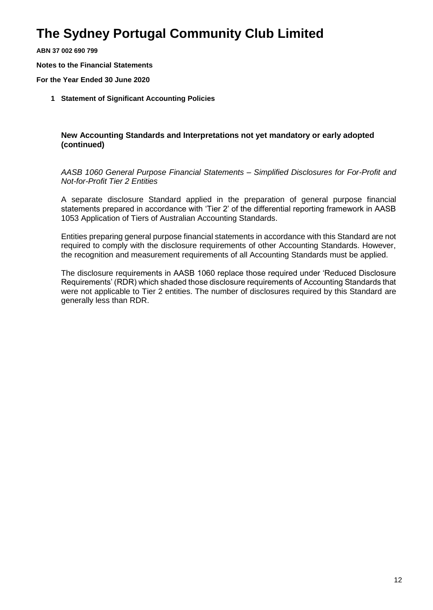**ABN 37 002 690 799**

**Notes to the Financial Statements**

**For the Year Ended 30 June 2020**

**1 Statement of Significant Accounting Policies** 

**New Accounting Standards and Interpretations not yet mandatory or early adopted (continued)**

*AASB 1060 General Purpose Financial Statements – Simplified Disclosures for For-Profit and Not-for-Profit Tier 2 Entities*

A separate disclosure Standard applied in the preparation of general purpose financial statements prepared in accordance with 'Tier 2' of the differential reporting framework in AASB 1053 Application of Tiers of Australian Accounting Standards.

Entities preparing general purpose financial statements in accordance with this Standard are not required to comply with the disclosure requirements of other Accounting Standards. However, the recognition and measurement requirements of all Accounting Standards must be applied.

The disclosure requirements in AASB 1060 replace those required under 'Reduced Disclosure Requirements' (RDR) which shaded those disclosure requirements of Accounting Standards that were not applicable to Tier 2 entities. The number of disclosures required by this Standard are generally less than RDR.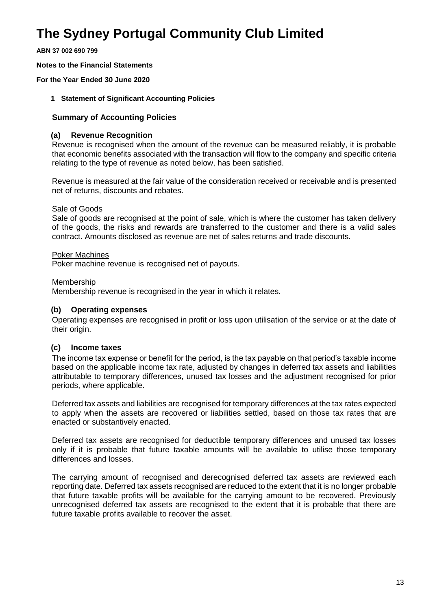**ABN 37 002 690 799**

**Notes to the Financial Statements**

**For the Year Ended 30 June 2020**

### **1 Statement of Significant Accounting Policies**

### **Summary of Accounting Policies**

### **(a) Revenue Recognition**

Revenue is recognised when the amount of the revenue can be measured reliably, it is probable that economic benefits associated with the transaction will flow to the company and specific criteria relating to the type of revenue as noted below, has been satisfied.

Revenue is measured at the fair value of the consideration received or receivable and is presented net of returns, discounts and rebates.

### Sale of Goods

Sale of goods are recognised at the point of sale, which is where the customer has taken delivery of the goods, the risks and rewards are transferred to the customer and there is a valid sales contract. Amounts disclosed as revenue are net of sales returns and trade discounts.

### Poker Machines

Poker machine revenue is recognised net of payouts.

### Membership

Membership revenue is recognised in the year in which it relates.

### **(b) Operating expenses**

Operating expenses are recognised in profit or loss upon utilisation of the service or at the date of their origin.

### **(c) Income taxes**

The income tax expense or benefit for the period, is the tax payable on that period's taxable income based on the applicable income tax rate, adjusted by changes in deferred tax assets and liabilities attributable to temporary differences, unused tax losses and the adjustment recognised for prior periods, where applicable.

Deferred tax assets and liabilities are recognised for temporary differences at the tax rates expected to apply when the assets are recovered or liabilities settled, based on those tax rates that are enacted or substantively enacted.

Deferred tax assets are recognised for deductible temporary differences and unused tax losses only if it is probable that future taxable amounts will be available to utilise those temporary differences and losses.

The carrying amount of recognised and derecognised deferred tax assets are reviewed each reporting date. Deferred tax assets recognised are reduced to the extent that it is no longer probable that future taxable profits will be available for the carrying amount to be recovered. Previously unrecognised deferred tax assets are recognised to the extent that it is probable that there are future taxable profits available to recover the asset.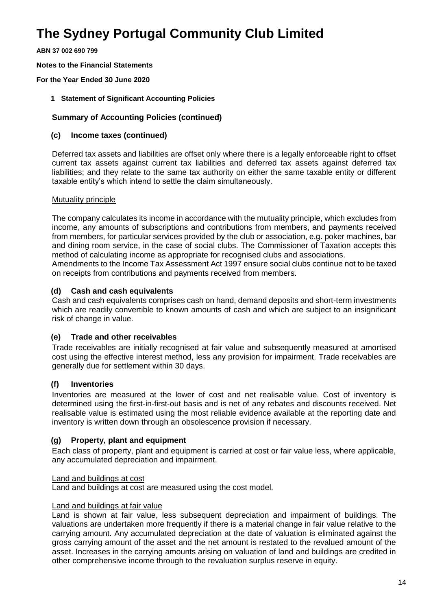**ABN 37 002 690 799**

**Notes to the Financial Statements**

**For the Year Ended 30 June 2020**

**1 Statement of Significant Accounting Policies** 

### **Summary of Accounting Policies (continued)**

### **(c) Income taxes (continued)**

Deferred tax assets and liabilities are offset only where there is a legally enforceable right to offset current tax assets against current tax liabilities and deferred tax assets against deferred tax liabilities; and they relate to the same tax authority on either the same taxable entity or different taxable entity's which intend to settle the claim simultaneously.

### Mutuality principle

The company calculates its income in accordance with the mutuality principle, which excludes from income, any amounts of subscriptions and contributions from members, and payments received from members, for particular services provided by the club or association, e.g. poker machines, bar and dining room service, in the case of social clubs. The Commissioner of Taxation accepts this method of calculating income as appropriate for recognised clubs and associations.

Amendments to the Income Tax Assessment Act 1997 ensure social clubs continue not to be taxed on receipts from contributions and payments received from members.

### **(d) Cash and cash equivalents**

Cash and cash equivalents comprises cash on hand, demand deposits and short-term investments which are readily convertible to known amounts of cash and which are subject to an insignificant risk of change in value.

### **(e) Trade and other receivables**

Trade receivables are initially recognised at fair value and subsequently measured at amortised cost using the effective interest method, less any provision for impairment. Trade receivables are generally due for settlement within 30 days.

### **(f) Inventories**

Inventories are measured at the lower of cost and net realisable value. Cost of inventory is determined using the first-in-first-out basis and is net of any rebates and discounts received. Net realisable value is estimated using the most reliable evidence available at the reporting date and inventory is written down through an obsolescence provision if necessary.

### **(g) Property, plant and equipment**

Each class of property, plant and equipment is carried at cost or fair value less, where applicable, any accumulated depreciation and impairment.

#### Land and buildings at cost

Land and buildings at cost are measured using the cost model.

#### Land and buildings at fair value

Land is shown at fair value, less subsequent depreciation and impairment of buildings. The valuations are undertaken more frequently if there is a material change in fair value relative to the carrying amount. Any accumulated depreciation at the date of valuation is eliminated against the gross carrying amount of the asset and the net amount is restated to the revalued amount of the asset. Increases in the carrying amounts arising on valuation of land and buildings are credited in other comprehensive income through to the revaluation surplus reserve in equity.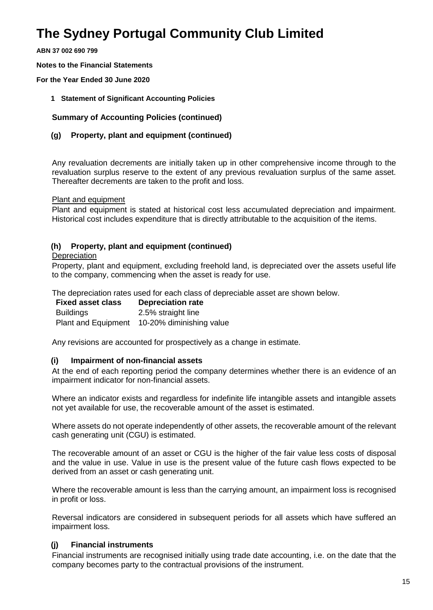**ABN 37 002 690 799**

**Notes to the Financial Statements**

**For the Year Ended 30 June 2020**

**1 Statement of Significant Accounting Policies** 

**Summary of Accounting Policies (continued)**

### **(g) Property, plant and equipment (continued)**

Any revaluation decrements are initially taken up in other comprehensive income through to the revaluation surplus reserve to the extent of any previous revaluation surplus of the same asset. Thereafter decrements are taken to the profit and loss.

Plant and equipment

Plant and equipment is stated at historical cost less accumulated depreciation and impairment. Historical cost includes expenditure that is directly attributable to the acquisition of the items.

### **(h) Property, plant and equipment (continued)**

#### **Depreciation**

Property, plant and equipment, excluding freehold land, is depreciated over the assets useful life to the company, commencing when the asset is ready for use.

The depreciation rates used for each class of depreciable asset are shown below.

**Fixed asset class Depreciation rate** Buildings 2.5% straight line Plant and Equipment 10-20% diminishing value

Any revisions are accounted for prospectively as a change in estimate.

### **(i) Impairment of non-financial assets**

At the end of each reporting period the company determines whether there is an evidence of an impairment indicator for non-financial assets.

Where an indicator exists and regardless for indefinite life intangible assets and intangible assets not yet available for use, the recoverable amount of the asset is estimated.

Where assets do not operate independently of other assets, the recoverable amount of the relevant cash generating unit (CGU) is estimated.

The recoverable amount of an asset or CGU is the higher of the fair value less costs of disposal and the value in use. Value in use is the present value of the future cash flows expected to be derived from an asset or cash generating unit.

Where the recoverable amount is less than the carrying amount, an impairment loss is recognised in profit or loss.

Reversal indicators are considered in subsequent periods for all assets which have suffered an impairment loss.

### **(j) Financial instruments**

Financial instruments are recognised initially using trade date accounting, i.e. on the date that the company becomes party to the contractual provisions of the instrument.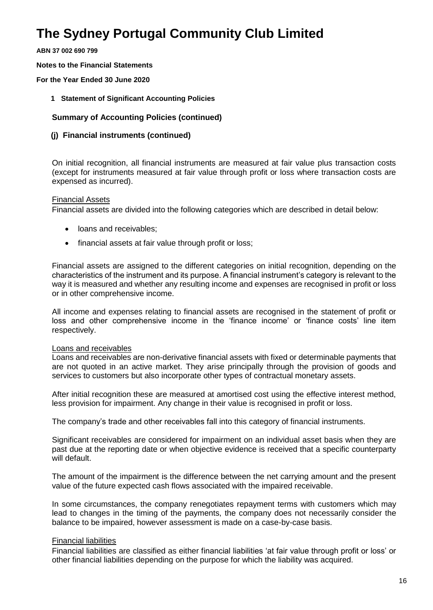**ABN 37 002 690 799**

**Notes to the Financial Statements**

**For the Year Ended 30 June 2020**

**1 Statement of Significant Accounting Policies** 

### **Summary of Accounting Policies (continued)**

### **(j) Financial instruments (continued)**

On initial recognition, all financial instruments are measured at fair value plus transaction costs (except for instruments measured at fair value through profit or loss where transaction costs are expensed as incurred).

### Financial Assets

Financial assets are divided into the following categories which are described in detail below:

- loans and receivables:
- financial assets at fair value through profit or loss;

Financial assets are assigned to the different categories on initial recognition, depending on the characteristics of the instrument and its purpose. A financial instrument's category is relevant to the way it is measured and whether any resulting income and expenses are recognised in profit or loss or in other comprehensive income.

All income and expenses relating to financial assets are recognised in the statement of profit or loss and other comprehensive income in the 'finance income' or 'finance costs' line item respectively.

#### Loans and receivables

Loans and receivables are non-derivative financial assets with fixed or determinable payments that are not quoted in an active market. They arise principally through the provision of goods and services to customers but also incorporate other types of contractual monetary assets.

After initial recognition these are measured at amortised cost using the effective interest method, less provision for impairment. Any change in their value is recognised in profit or loss.

The company's trade and other receivables fall into this category of financial instruments.

Significant receivables are considered for impairment on an individual asset basis when they are past due at the reporting date or when objective evidence is received that a specific counterparty will default.

The amount of the impairment is the difference between the net carrying amount and the present value of the future expected cash flows associated with the impaired receivable.

In some circumstances, the company renegotiates repayment terms with customers which may lead to changes in the timing of the payments, the company does not necessarily consider the balance to be impaired, however assessment is made on a case-by-case basis.

### Financial liabilities

Financial liabilities are classified as either financial liabilities 'at fair value through profit or loss' or other financial liabilities depending on the purpose for which the liability was acquired.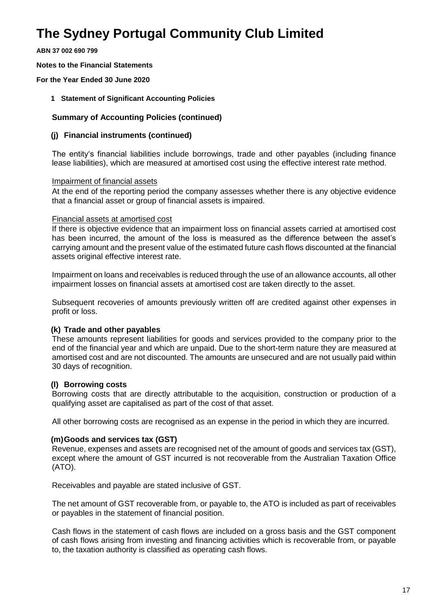**ABN 37 002 690 799**

**Notes to the Financial Statements**

**For the Year Ended 30 June 2020**

**1 Statement of Significant Accounting Policies** 

### **Summary of Accounting Policies (continued)**

### **(j) Financial instruments (continued)**

The entity's financial liabilities include borrowings, trade and other payables (including finance lease liabilities), which are measured at amortised cost using the effective interest rate method.

### Impairment of financial assets

At the end of the reporting period the company assesses whether there is any objective evidence that a financial asset or group of financial assets is impaired.

### Financial assets at amortised cost

If there is objective evidence that an impairment loss on financial assets carried at amortised cost has been incurred, the amount of the loss is measured as the difference between the asset's carrying amount and the present value of the estimated future cash flows discounted at the financial assets original effective interest rate.

Impairment on loans and receivables is reduced through the use of an allowance accounts, all other impairment losses on financial assets at amortised cost are taken directly to the asset.

Subsequent recoveries of amounts previously written off are credited against other expenses in profit or loss.

### **(k) Trade and other payables**

These amounts represent liabilities for goods and services provided to the company prior to the end of the financial year and which are unpaid. Due to the short-term nature they are measured at amortised cost and are not discounted. The amounts are unsecured and are not usually paid within 30 days of recognition.

### **(l) Borrowing costs**

Borrowing costs that are directly attributable to the acquisition, construction or production of a qualifying asset are capitalised as part of the cost of that asset.

All other borrowing costs are recognised as an expense in the period in which they are incurred.

### **(m)Goods and services tax (GST)**

Revenue, expenses and assets are recognised net of the amount of goods and services tax (GST), except where the amount of GST incurred is not recoverable from the Australian Taxation Office (ATO).

Receivables and payable are stated inclusive of GST.

The net amount of GST recoverable from, or payable to, the ATO is included as part of receivables or payables in the statement of financial position.

Cash flows in the statement of cash flows are included on a gross basis and the GST component of cash flows arising from investing and financing activities which is recoverable from, or payable to, the taxation authority is classified as operating cash flows.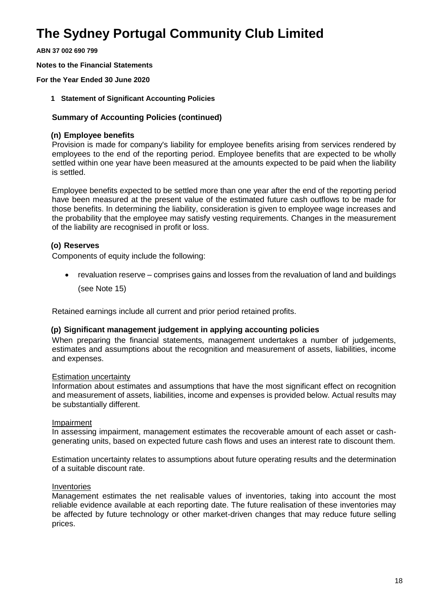**ABN 37 002 690 799**

**Notes to the Financial Statements**

**For the Year Ended 30 June 2020**

**1 Statement of Significant Accounting Policies** 

### **Summary of Accounting Policies (continued)**

### **(n) Employee benefits**

Provision is made for company's liability for employee benefits arising from services rendered by employees to the end of the reporting period. Employee benefits that are expected to be wholly settled within one year have been measured at the amounts expected to be paid when the liability is settled.

Employee benefits expected to be settled more than one year after the end of the reporting period have been measured at the present value of the estimated future cash outflows to be made for those benefits. In determining the liability, consideration is given to employee wage increases and the probability that the employee may satisfy vesting requirements. Changes in the measurement of the liability are recognised in profit or loss.

### **(o) Reserves**

Components of equity include the following:

• revaluation reserve – comprises gains and losses from the revaluation of land and buildings

(see Note 15)

Retained earnings include all current and prior period retained profits.

### **(p) Significant management judgement in applying accounting policies**

When preparing the financial statements, management undertakes a number of judgements, estimates and assumptions about the recognition and measurement of assets, liabilities, income and expenses.

#### Estimation uncertainty

Information about estimates and assumptions that have the most significant effect on recognition and measurement of assets, liabilities, income and expenses is provided below. Actual results may be substantially different.

#### Impairment

In assessing impairment, management estimates the recoverable amount of each asset or cashgenerating units, based on expected future cash flows and uses an interest rate to discount them.

Estimation uncertainty relates to assumptions about future operating results and the determination of a suitable discount rate.

#### Inventories

Management estimates the net realisable values of inventories, taking into account the most reliable evidence available at each reporting date. The future realisation of these inventories may be affected by future technology or other market-driven changes that may reduce future selling prices.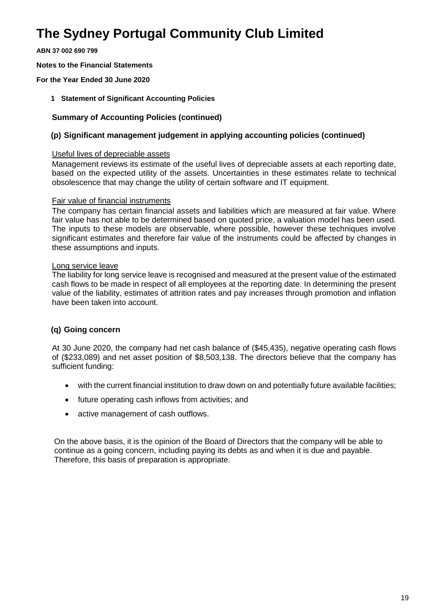**ABN 37 002 690 799**

**Notes to the Financial Statements**

**For the Year Ended 30 June 2020**

**1 Statement of Significant Accounting Policies** 

### **Summary of Accounting Policies (continued)**

### **(p) Significant management judgement in applying accounting policies (continued)**

#### Useful lives of depreciable assets

Management reviews its estimate of the useful lives of depreciable assets at each reporting date, based on the expected utility of the assets. Uncertainties in these estimates relate to technical obsolescence that may change the utility of certain software and IT equipment.

#### Fair value of financial instruments

The company has certain financial assets and liabilities which are measured at fair value. Where fair value has not able to be determined based on quoted price, a valuation model has been used. The inputs to these models are observable, where possible, however these techniques involve significant estimates and therefore fair value of the instruments could be affected by changes in these assumptions and inputs.

### Long service leave

The liability for long service leave is recognised and measured at the present value of the estimated cash flows to be made in respect of all employees at the reporting date. In determining the present value of the liability, estimates of attrition rates and pay increases through promotion and inflation have been taken into account.

### **(q) Going concern**

At 30 June 2020, the company had net cash balance of (\$45,435), negative operating cash flows of (\$233,089) and net asset position of \$8,503,138. The directors believe that the company has sufficient funding:

- with the current financial institution to draw down on and potentially future available facilities;
- future operating cash inflows from activities; and
- active management of cash outflows.

 On the above basis, it is the opinion of the Board of Directors that the company will be able to continue as a going concern, including paying its debts as and when it is due and payable. Therefore, this basis of preparation is appropriate.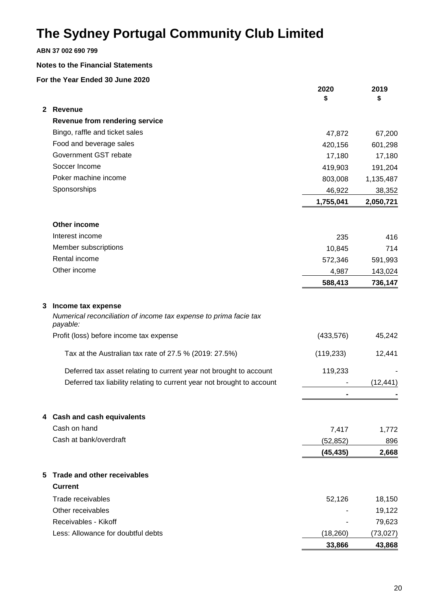### **ABN 37 002 690 799**

#### **Notes to the Financial Statements**

|   |                                                                               | 2020<br>\$ | 2019<br>\$ |
|---|-------------------------------------------------------------------------------|------------|------------|
|   | 2 Revenue                                                                     |            |            |
|   | <b>Revenue from rendering service</b>                                         |            |            |
|   | Bingo, raffle and ticket sales                                                | 47,872     | 67,200     |
|   | Food and beverage sales                                                       | 420,156    | 601,298    |
|   | Government GST rebate                                                         | 17,180     | 17,180     |
|   | Soccer Income                                                                 | 419,903    | 191,204    |
|   | Poker machine income                                                          | 803,008    | 1,135,487  |
|   | Sponsorships                                                                  | 46,922     | 38,352     |
|   |                                                                               | 1,755,041  | 2,050,721  |
|   | Other income                                                                  |            |            |
|   | Interest income                                                               | 235        | 416        |
|   | Member subscriptions                                                          | 10,845     | 714        |
|   | Rental income                                                                 | 572,346    | 591,993    |
|   | Other income                                                                  | 4,987      | 143,024    |
|   |                                                                               | 588,413    | 736,147    |
| 3 | Income tax expense                                                            |            |            |
|   | Numerical reconciliation of income tax expense to prima facie tax<br>payable: |            |            |
|   | Profit (loss) before income tax expense                                       | (433, 576) | 45,242     |
|   | Tax at the Australian tax rate of 27.5 % (2019: 27.5%)                        | (119, 233) | 12,441     |
|   | Deferred tax asset relating to current year not brought to account            | 119,233    |            |
|   | Deferred tax liability relating to current year not brought to account        |            | (12, 441)  |
|   |                                                                               |            |            |
|   | 4 Cash and cash equivalents                                                   |            |            |
|   | Cash on hand                                                                  | 7,417      | 1,772      |
|   | Cash at bank/overdraft                                                        | (52, 852)  | 896        |
|   |                                                                               | (45, 435)  | 2,668      |
|   | 5 Trade and other receivables                                                 |            |            |
|   | <b>Current</b>                                                                |            |            |
|   | Trade receivables                                                             | 52,126     | 18,150     |
|   | Other receivables                                                             |            | 19,122     |
|   | Receivables - Kikoff                                                          |            | 79,623     |
|   | Less: Allowance for doubtful debts                                            | (18, 260)  | (73, 027)  |
|   |                                                                               | 33,866     | 43,868     |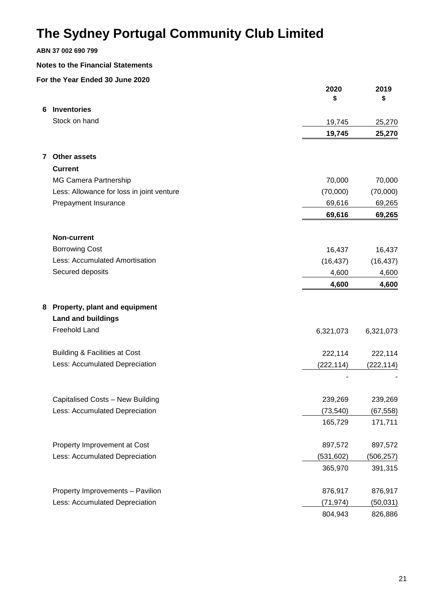### **ABN 37 002 690 799**

#### **Notes to the Financial Statements**

|   |                                           | 2020<br>\$ | 2019<br>\$ |
|---|-------------------------------------------|------------|------------|
| 6 | <b>Inventories</b>                        |            |            |
|   | Stock on hand                             | 19,745     | 25,270     |
|   |                                           | 19,745     | 25,270     |
| 7 | <b>Other assets</b>                       |            |            |
|   | <b>Current</b>                            |            |            |
|   | MG Camera Partnership                     | 70,000     | 70,000     |
|   | Less: Allowance for loss in joint venture | (70,000)   | (70,000)   |
|   | Prepayment Insurance                      | 69,616     | 69,265     |
|   |                                           | 69,616     | 69,265     |
|   | <b>Non-current</b>                        |            |            |
|   | <b>Borrowing Cost</b>                     | 16,437     | 16,437     |
|   | Less: Accumulated Amortisation            | (16, 437)  | (16, 437)  |
|   | Secured deposits                          | 4,600      | 4,600      |
|   |                                           | 4,600      | 4,600      |
| 8 | Property, plant and equipment             |            |            |
|   | <b>Land and buildings</b>                 |            |            |
|   | <b>Freehold Land</b>                      | 6,321,073  | 6,321,073  |
|   | Building & Facilities at Cost             | 222,114    | 222,114    |
|   | Less: Accumulated Depreciation            | (222, 114) | (222, 114) |
|   |                                           |            |            |
|   | Capitalised Costs - New Building          | 239,269    | 239,269    |
|   | Less: Accumulated Depreciation            | (73, 540)  | (67, 558)  |
|   |                                           | 165,729    | 171,711    |
|   | Property Improvement at Cost              | 897,572    | 897,572    |
|   | Less: Accumulated Depreciation            | (531, 602) | (506, 257) |
|   |                                           | 365,970    | 391,315    |
|   | Property Improvements - Pavilion          | 876,917    | 876,917    |
|   | Less: Accumulated Depreciation            | (71, 974)  | (50,031)   |
|   |                                           | 804,943    | 826,886    |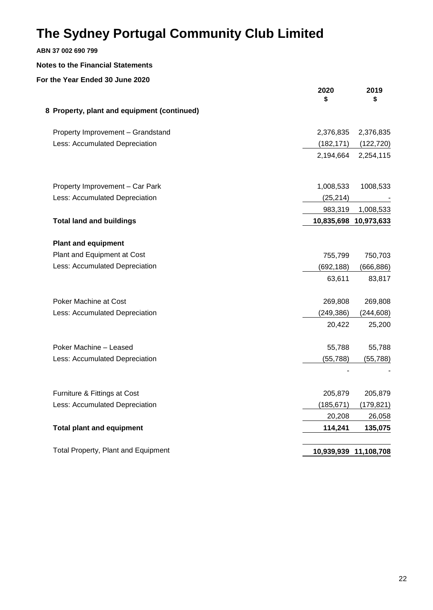### **ABN 37 002 690 799**

### **Notes to the Financial Statements**

|                                             | 2020<br>\$ | 2019<br>\$            |
|---------------------------------------------|------------|-----------------------|
| 8 Property, plant and equipment (continued) |            |                       |
| Property Improvement - Grandstand           | 2,376,835  | 2,376,835             |
| Less: Accumulated Depreciation              | (182, 171) | (122, 720)            |
|                                             | 2,194,664  | 2,254,115             |
| Property Improvement - Car Park             | 1,008,533  | 1008,533              |
| Less: Accumulated Depreciation              | (25, 214)  |                       |
|                                             | 983,319    | 1,008,533             |
| <b>Total land and buildings</b>             |            | 10,835,698 10,973,633 |
| <b>Plant and equipment</b>                  |            |                       |
| Plant and Equipment at Cost                 | 755,799    | 750,703               |
| Less: Accumulated Depreciation              | (692, 188) | (666, 886)            |
|                                             | 63,611     | 83,817                |
| <b>Poker Machine at Cost</b>                | 269,808    | 269,808               |
| Less: Accumulated Depreciation              | (249, 386) | (244, 608)            |
|                                             | 20,422     | 25,200                |
| Poker Machine - Leased                      | 55,788     | 55,788                |
| Less: Accumulated Depreciation              | (55, 788)  | (55, 788)             |
|                                             |            |                       |
| Furniture & Fittings at Cost                | 205,879    | 205,879               |
| Less: Accumulated Depreciation              | (185, 671) | (179, 821)            |
|                                             | 20,208     | 26,058                |
| <b>Total plant and equipment</b>            | 114,241    | 135,075               |
| <b>Total Property, Plant and Equipment</b>  |            | 10,939,939 11,108,708 |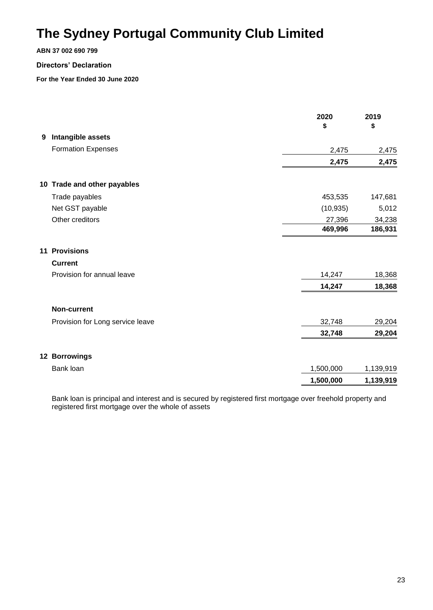#### **ABN 37 002 690 799**

#### **Directors' Declaration**

**For the Year Ended 30 June 2020**

|   |                                  | 2020<br>\$ | 2019<br>\$ |
|---|----------------------------------|------------|------------|
| 9 | Intangible assets                |            |            |
|   | <b>Formation Expenses</b>        | 2,475      | 2,475      |
|   |                                  | 2,475      | 2,475      |
|   | 10 Trade and other payables      |            |            |
|   | Trade payables                   | 453,535    | 147,681    |
|   | Net GST payable                  | (10, 935)  | 5,012      |
|   | Other creditors                  | 27,396     | 34,238     |
|   |                                  | 469,996    | 186,931    |
|   | <b>11 Provisions</b>             |            |            |
|   | <b>Current</b>                   |            |            |
|   | Provision for annual leave       | 14,247     | 18,368     |
|   |                                  | 14,247     | 18,368     |
|   | <b>Non-current</b>               |            |            |
|   | Provision for Long service leave | 32,748     | 29,204     |
|   |                                  | 32,748     | 29,204     |
|   | 12 Borrowings                    |            |            |
|   | Bank loan                        | 1,500,000  | 1,139,919  |
|   |                                  | 1,500,000  | 1,139,919  |

Bank loan is principal and interest and is secured by registered first mortgage over freehold property and registered first mortgage over the whole of assets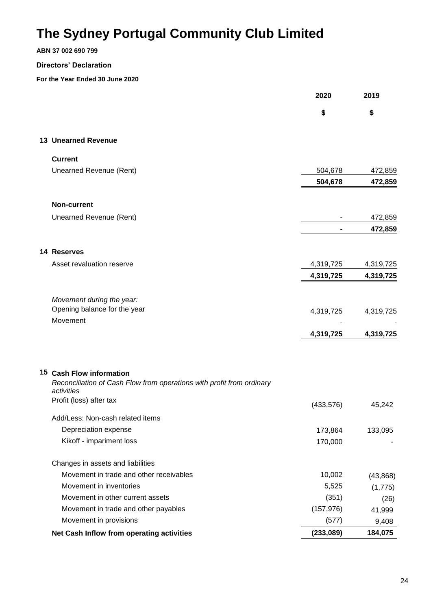**ABN 37 002 690 799**

### **Directors' Declaration**

|                                                                                                   | 2020       | 2019      |
|---------------------------------------------------------------------------------------------------|------------|-----------|
|                                                                                                   | \$         | \$        |
| <b>13 Unearned Revenue</b>                                                                        |            |           |
| <b>Current</b>                                                                                    |            |           |
| Unearned Revenue (Rent)                                                                           | 504,678    | 472,859   |
|                                                                                                   | 504,678    | 472,859   |
| <b>Non-current</b>                                                                                |            |           |
| Unearned Revenue (Rent)                                                                           |            | 472,859   |
|                                                                                                   |            | 472,859   |
| 14 Reserves                                                                                       |            |           |
| Asset revaluation reserve                                                                         | 4,319,725  | 4,319,725 |
|                                                                                                   | 4,319,725  | 4,319,725 |
| Movement during the year:                                                                         |            |           |
| Opening balance for the year                                                                      | 4,319,725  | 4,319,725 |
| Movement                                                                                          | 4,319,725  | 4,319,725 |
|                                                                                                   |            |           |
| 15 Cash Flow information<br>Reconciliation of Cash Flow from operations with profit from ordinary |            |           |
| activities                                                                                        |            |           |
| Profit (loss) after tax                                                                           | (433, 576) | 45,242    |
| Add/Less: Non-cash related items                                                                  |            |           |
| Depreciation expense                                                                              | 173,864    | 133,095   |
| Kikoff - impariment loss                                                                          | 170,000    |           |
| Changes in assets and liabilities                                                                 |            |           |
| Movement in trade and other receivables                                                           | 10,002     | (43, 868) |
| Movement in inventories                                                                           | 5,525      | (1,775)   |
| Movement in other current assets                                                                  | (351)      | (26)      |
| Movement in trade and other payables                                                              | (157, 976) | 41,999    |
| Movement in provisions                                                                            | (577)      | 9,408     |
| Net Cash Inflow from operating activities                                                         | (233,089)  | 184,075   |
|                                                                                                   |            |           |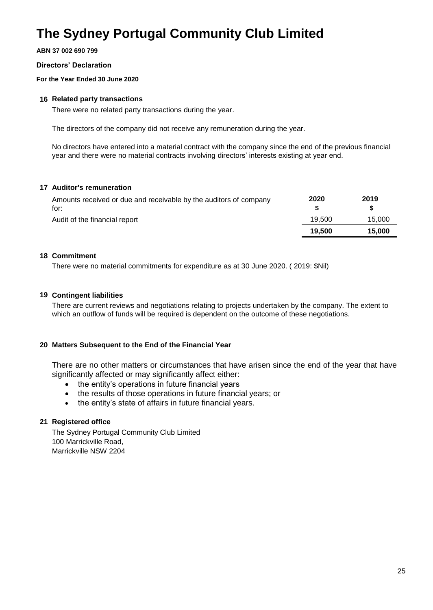**ABN 37 002 690 799**

#### **Directors' Declaration**

**For the Year Ended 30 June 2020**

#### **16 Related party transactions**

There were no related party transactions during the year.

The directors of the company did not receive any remuneration during the year.

No directors have entered into a material contract with the company since the end of the previous financial year and there were no material contracts involving directors' interests existing at year end.

#### **17 Auditor's remuneration**

| Amounts received or due and receivable by the auditors of company<br>for: | 2020   | 2019   |
|---------------------------------------------------------------------------|--------|--------|
| Audit of the financial report                                             | 19.500 | 15.000 |
|                                                                           | 19.500 | 15,000 |

#### **18 Commitment**

There were no material commitments for expenditure as at 30 June 2020. ( 2019: \$Nil)

#### **19 Contingent liabilities**

There are current reviews and negotiations relating to projects undertaken by the company. The extent to which an outflow of funds will be required is dependent on the outcome of these negotiations.

#### **20 Matters Subsequent to the End of the Financial Year**

There are no other matters or circumstances that have arisen since the end of the year that have significantly affected or may significantly affect either:

- the entity's operations in future financial years
- the results of those operations in future financial years; or
- the entity's state of affairs in future financial years.

### **21 Registered office**

The Sydney Portugal Community Club Limited 100 Marrickville Road, Marrickville NSW 2204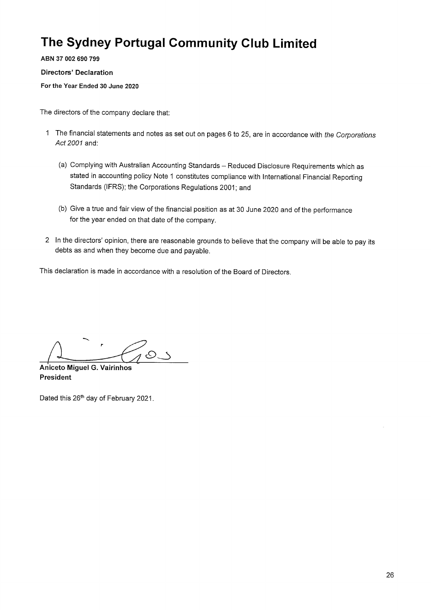ABN 37 002 690 799

**Directors' Declaration** 

For the Year Ended 30 June 2020

The directors of the company declare that:

- 1 The financial statements and notes as set out on pages 6 to 25, are in accordance with the Corporations Act 2001 and:
	- (a) Complying with Australian Accounting Standards Reduced Disclosure Requirements which as stated in accounting policy Note 1 constitutes compliance with International Financial Reporting Standards (IFRS); the Corporations Regulations 2001; and
	- (b) Give a true and fair view of the financial position as at 30 June 2020 and of the performance for the year ended on that date of the company.
- 2 In the directors' opinion, there are reasonable grounds to believe that the company will be able to pay its debts as and when they become due and payable.

This declaration is made in accordance with a resolution of the Board of Directors.

Aniceto Miguel G. Vairinhos President

Dated this 26<sup>th</sup> day of February 2021.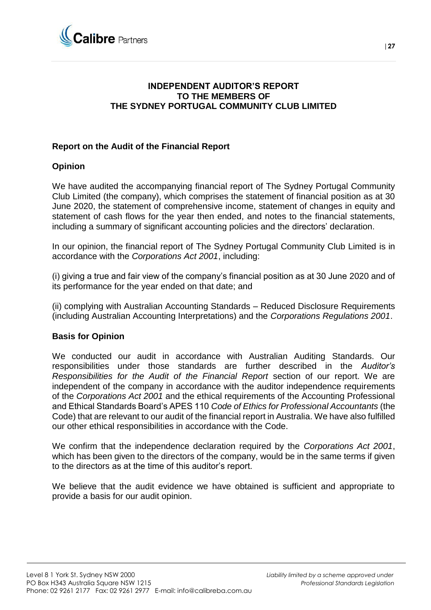

### **INDEPENDENT AUDITOR'S REPORT TO THE MEMBERS OF THE SYDNEY PORTUGAL COMMUNITY CLUB LIMITED**

### **Report on the Audit of the Financial Report**

### **Opinion**

We have audited the accompanying financial report of The Sydney Portugal Community Club Limited (the company), which comprises the statement of financial position as at 30 June 2020, the statement of comprehensive income, statement of changes in equity and statement of cash flows for the year then ended, and notes to the financial statements, including a summary of significant accounting policies and the directors' declaration.

In our opinion, the financial report of The Sydney Portugal Community Club Limited is in accordance with the *Corporations Act 2001*, including:

(i) giving a true and fair view of the company's financial position as at 30 June 2020 and of its performance for the year ended on that date; and

(ii) complying with Australian Accounting Standards – Reduced Disclosure Requirements (including Australian Accounting Interpretations) and the *Corporations Regulations 2001*.

### **Basis for Opinion**

We conducted our audit in accordance with Australian Auditing Standards. Our responsibilities under those standards are further described in the *Auditor's Responsibilities for the Audit of the Financial Report* section of our report. We are independent of the company in accordance with the auditor independence requirements of the *Corporations Act 2001* and the ethical requirements of the Accounting Professional and Ethical Standards Board's APES 110 *Code of Ethics for Professional Accountants* (the Code) that are relevant to our audit of the financial report in Australia. We have also fulfilled our other ethical responsibilities in accordance with the Code.

We confirm that the independence declaration required by the *Corporations Act 2001*, which has been given to the directors of the company, would be in the same terms if given to the directors as at the time of this auditor's report.

We believe that the audit evidence we have obtained is sufficient and appropriate to provide a basis for our audit opinion.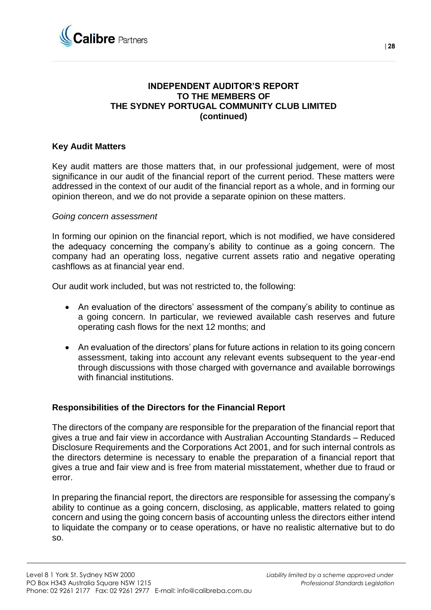

### **INDEPENDENT AUDITOR'S REPORT TO THE MEMBERS OF THE SYDNEY PORTUGAL COMMUNITY CLUB LIMITED (continued)**

### **Key Audit Matters**

Key audit matters are those matters that, in our professional judgement, were of most significance in our audit of the financial report of the current period. These matters were addressed in the context of our audit of the financial report as a whole, and in forming our opinion thereon, and we do not provide a separate opinion on these matters.

### *Going concern assessment*

In forming our opinion on the financial report, which is not modified, we have considered the adequacy concerning the company's ability to continue as a going concern. The company had an operating loss, negative current assets ratio and negative operating cashflows as at financial year end.

Our audit work included, but was not restricted to, the following:

- An evaluation of the directors' assessment of the company's ability to continue as a going concern. In particular, we reviewed available cash reserves and future operating cash flows for the next 12 months; and
- An evaluation of the directors' plans for future actions in relation to its going concern assessment, taking into account any relevant events subsequent to the year-end through discussions with those charged with governance and available borrowings with financial institutions.

### **Responsibilities of the Directors for the Financial Report**

The directors of the company are responsible for the preparation of the financial report that gives a true and fair view in accordance with Australian Accounting Standards – Reduced Disclosure Requirements and the Corporations Act 2001, and for such internal controls as the directors determine is necessary to enable the preparation of a financial report that gives a true and fair view and is free from material misstatement, whether due to fraud or error.

In preparing the financial report, the directors are responsible for assessing the company's ability to continue as a going concern, disclosing, as applicable, matters related to going concern and using the going concern basis of accounting unless the directors either intend to liquidate the company or to cease operations, or have no realistic alternative but to do so.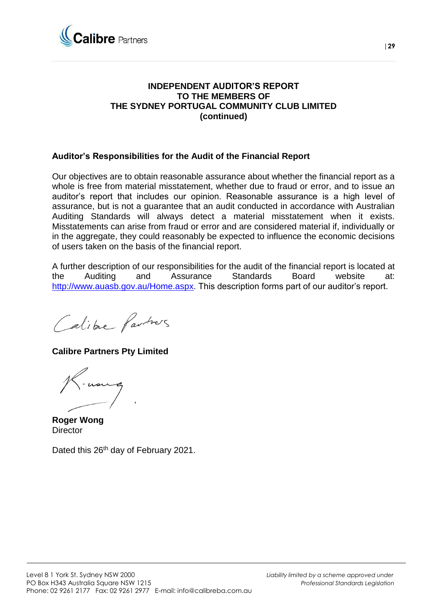

### **INDEPENDENT AUDITOR'S REPORT TO THE MEMBERS OF THE SYDNEY PORTUGAL COMMUNITY CLUB LIMITED (continued)**

### **Auditor's Responsibilities for the Audit of the Financial Report**

Our objectives are to obtain reasonable assurance about whether the financial report as a whole is free from material misstatement, whether due to fraud or error, and to issue an auditor's report that includes our opinion. Reasonable assurance is a high level of assurance, but is not a guarantee that an audit conducted in accordance with Australian Auditing Standards will always detect a material misstatement when it exists. Misstatements can arise from fraud or error and are considered material if, individually or in the aggregate, they could reasonably be expected to influence the economic decisions of users taken on the basis of the financial report.

A further description of our responsibilities for the audit of the financial report is located at the Auditing and Assurance Standards Board website at: [http://www.auasb.gov.au/Home.aspx.](http://www.auasb.gov.au/Home.aspx) This description forms part of our auditor's report.

Calibre Partners

**Calibre Partners Pty Limited**

**Roger Wong Director** 

Dated this 26<sup>th</sup> day of February 2021.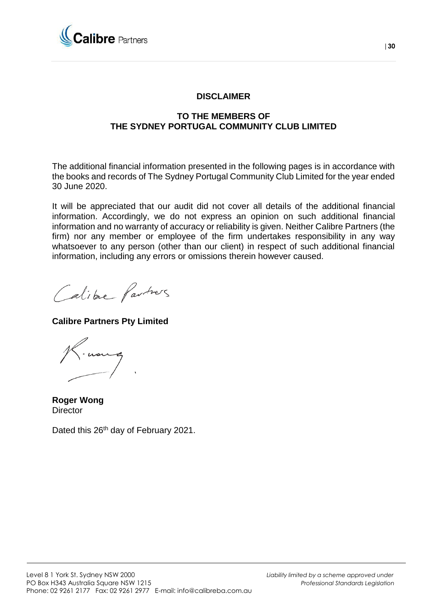

### **DISCLAIMER**

### **TO THE MEMBERS OF THE SYDNEY PORTUGAL COMMUNITY CLUB LIMITED**

The additional financial information presented in the following pages is in accordance with the books and records of The Sydney Portugal Community Club Limited for the year ended 30 June 2020.

It will be appreciated that our audit did not cover all details of the additional financial information. Accordingly, we do not express an opinion on such additional financial information and no warranty of accuracy or reliability is given. Neither Calibre Partners (the firm) nor any member or employee of the firm undertakes responsibility in any way whatsoever to any person (other than our client) in respect of such additional financial information, including any errors or omissions therein however caused.

Calibre Partners

**Calibre Partners Pty Limited**

**Roger Wong Director** 

Dated this 26<sup>th</sup> day of February 2021.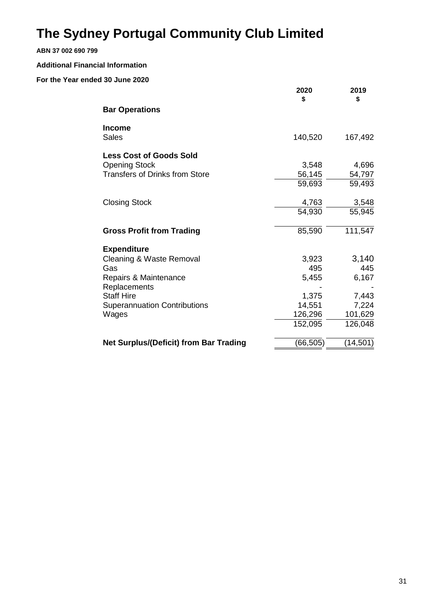### **ABN 37 002 690 799**

#### **Additional Financial Information**

|                                               | 2020<br>\$ | 2019<br>\$ |
|-----------------------------------------------|------------|------------|
| <b>Bar Operations</b>                         |            |            |
| Income<br><b>Sales</b>                        | 140,520    | 167,492    |
| <b>Less Cost of Goods Sold</b>                |            |            |
| <b>Opening Stock</b>                          | 3,548      | 4,696      |
| <b>Transfers of Drinks from Store</b>         | 56,145     | 54,797     |
|                                               | 59,693     | 59,493     |
| <b>Closing Stock</b>                          | 4,763      | 3,548      |
|                                               | 54,930     | 55,945     |
| <b>Gross Profit from Trading</b>              | 85,590     | 111,547    |
| <b>Expenditure</b>                            |            |            |
| Cleaning & Waste Removal                      | 3,923      | 3,140      |
| Gas                                           | 495        | 445        |
| Repairs & Maintenance                         | 5,455      | 6,167      |
| Replacements                                  |            |            |
| <b>Staff Hire</b>                             | 1,375      | 7,443      |
| <b>Superannuation Contributions</b>           | 14,551     | 7,224      |
| Wages                                         | 126,296    | 101,629    |
|                                               | 152,095    | 126,048    |
| <b>Net Surplus/(Deficit) from Bar Trading</b> | (66, 505)  | (14, 501)  |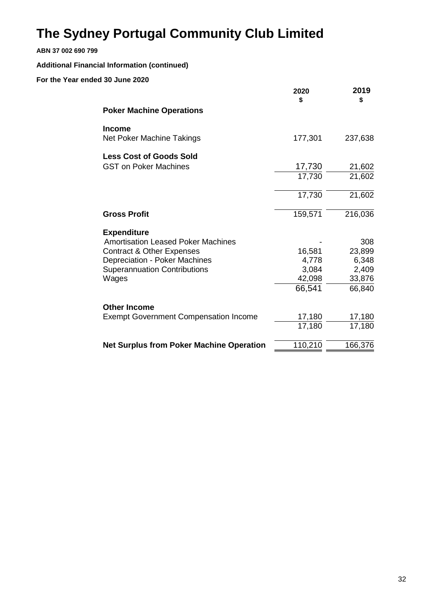### **ABN 37 002 690 799**

### **Additional Financial Information (continued)**

|                                                 | 2020<br>\$ | 2019<br>\$ |
|-------------------------------------------------|------------|------------|
| <b>Poker Machine Operations</b>                 |            |            |
| <b>Income</b>                                   |            |            |
| Net Poker Machine Takings                       | 177,301    | 237,638    |
| <b>Less Cost of Goods Sold</b>                  |            |            |
| <b>GST on Poker Machines</b>                    | 17,730     | 21,602     |
|                                                 | 17,730     | 21,602     |
|                                                 | 17,730     | 21,602     |
| <b>Gross Profit</b>                             | 159,571    | 216,036    |
| <b>Expenditure</b>                              |            |            |
| <b>Amortisation Leased Poker Machines</b>       |            | 308        |
| <b>Contract &amp; Other Expenses</b>            | 16,581     | 23,899     |
| Depreciation - Poker Machines                   | 4,778      | 6,348      |
| <b>Superannuation Contributions</b>             | 3,084      | 2,409      |
| Wages                                           | 42,098     | 33,876     |
|                                                 | 66,541     | 66,840     |
| <b>Other Income</b>                             |            |            |
| <b>Exempt Government Compensation Income</b>    | 17,180     | 17,180     |
|                                                 | 17,180     | 17,180     |
| <b>Net Surplus from Poker Machine Operation</b> | 110,210    | 166,376    |
|                                                 |            |            |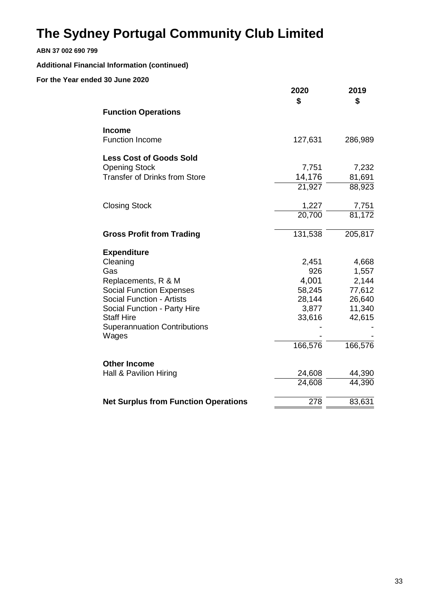### **ABN 37 002 690 799**

### **Additional Financial Information (continued)**

|                                              | 2020<br>\$           | 2019<br>\$ |
|----------------------------------------------|----------------------|------------|
| <b>Function Operations</b>                   |                      |            |
| <b>Income</b><br><b>Function Income</b>      | 127,631              | 286,989    |
| <b>Less Cost of Goods Sold</b>               |                      |            |
| <b>Opening Stock</b>                         | 7,751                | 7,232      |
| <b>Transfer of Drinks from Store</b>         | 14,176               | 81,691     |
|                                              | $\overline{21}, 927$ | 88,923     |
| <b>Closing Stock</b>                         | 1,227                | 7,751      |
|                                              | $\overline{20,}700$  | 81,172     |
| <b>Gross Profit from Trading</b>             | 131,538              | 205,817    |
| <b>Expenditure</b>                           |                      |            |
| Cleaning                                     | 2,451                | 4,668      |
| Gas                                          | 926                  | 1,557      |
| Replacements, R & M                          | 4,001                | 2,144      |
| <b>Social Function Expenses</b>              | 58,245               | 77,612     |
| <b>Social Function - Artists</b>             | 28,144               | 26,640     |
| Social Function - Party Hire                 | 3,877                | 11,340     |
| <b>Staff Hire</b>                            | 33,616               | 42,615     |
| <b>Superannuation Contributions</b><br>Wages |                      |            |
|                                              | 166,576              | 166,576    |
| <b>Other Income</b>                          |                      |            |
| Hall & Pavilion Hiring                       | 24,608               | 44,390     |
|                                              | 24,608               | 44,390     |
| <b>Net Surplus from Function Operations</b>  | 278                  | 83,631     |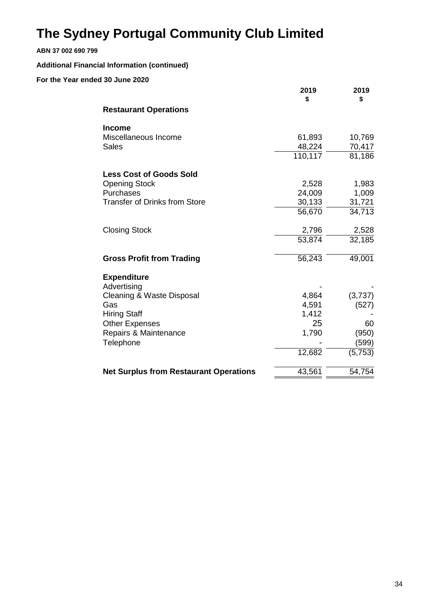### **ABN 37 002 690 799**

### **Additional Financial Information (continued)**

|                                               | 2019<br>\$ | 2019<br>\$ |
|-----------------------------------------------|------------|------------|
| <b>Restaurant Operations</b>                  |            |            |
| <b>Income</b>                                 |            |            |
| Miscellaneous Income                          | 61,893     | 10,769     |
| <b>Sales</b>                                  | 48,224     | 70,417     |
|                                               | 110,117    | 81,186     |
| <b>Less Cost of Goods Sold</b>                |            |            |
| <b>Opening Stock</b>                          | 2,528      | 1,983      |
| Purchases                                     | 24,009     | 1,009      |
| <b>Transfer of Drinks from Store</b>          | 30,133     | 31,721     |
|                                               | 56,670     | 34,713     |
| <b>Closing Stock</b>                          | 2,796      | 2,528      |
|                                               | 53,874     | 32,185     |
| <b>Gross Profit from Trading</b>              | 56,243     | 49,001     |
| <b>Expenditure</b>                            |            |            |
| Advertising                                   |            |            |
| Cleaning & Waste Disposal                     | 4,864      | (3,737)    |
| Gas                                           | 4,591      | (527)      |
| <b>Hiring Staff</b>                           | 1,412      |            |
| <b>Other Expenses</b>                         | 25         | 60         |
| Repairs & Maintenance                         | 1,790      | (950)      |
| Telephone                                     |            | (599)      |
|                                               | 12,682     | (5,753)    |
| <b>Net Surplus from Restaurant Operations</b> | 43,561     | 54,754     |
|                                               |            |            |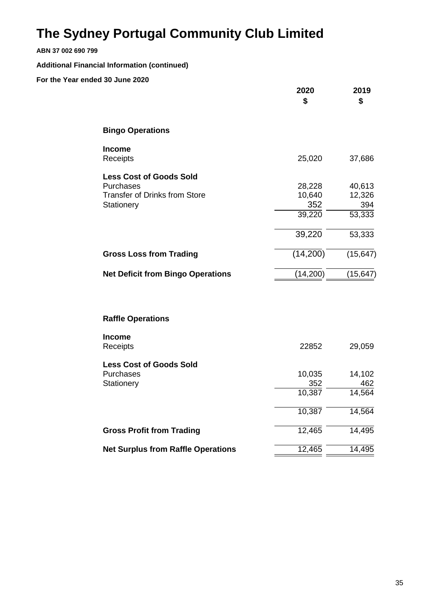### **ABN 37 002 690 799**

**Additional Financial Information (continued)**

|                                                                                                   | 2020<br>\$                                  | 2019<br>\$                                  |
|---------------------------------------------------------------------------------------------------|---------------------------------------------|---------------------------------------------|
| <b>Bingo Operations</b>                                                                           |                                             |                                             |
| Income<br>Receipts                                                                                | 25,020                                      | 37,686                                      |
| <b>Less Cost of Goods Sold</b><br>Purchases<br><b>Transfer of Drinks from Store</b><br>Stationery | 28,228<br>10,640<br>352<br>39,220<br>39,220 | 40,613<br>12,326<br>394<br>53,333<br>53,333 |
| <b>Gross Loss from Trading</b>                                                                    | (14,200)                                    | (15, 647)                                   |
| <b>Net Deficit from Bingo Operations</b>                                                          | (14,200)                                    | (15, 647)                                   |
| <b>Raffle Operations</b>                                                                          |                                             |                                             |
| <b>Income</b><br>Receipts                                                                         | 22852                                       | 29,059                                      |
| <b>Less Cost of Goods Sold</b><br>Purchases<br>Stationery                                         | 10,035<br>352<br>10,387<br>10,387           | 14,102<br>462<br>14,564<br>14,564           |
| <b>Gross Profit from Trading</b>                                                                  | 12,465                                      | 14,495                                      |
| <b>Net Surplus from Raffle Operations</b>                                                         | 12,465                                      | 14,495                                      |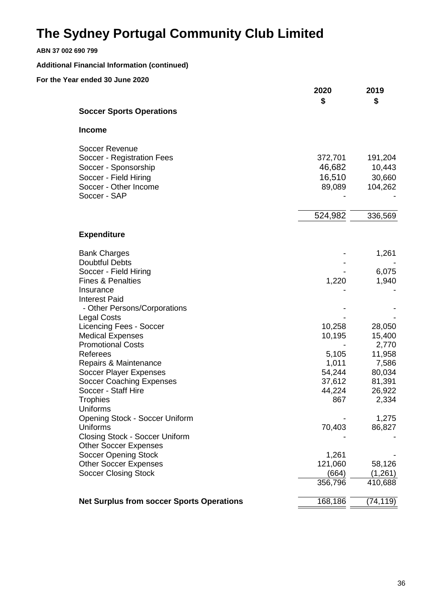| ABN 37 002 690 799                                                                                                                            |                                              |                                               |
|-----------------------------------------------------------------------------------------------------------------------------------------------|----------------------------------------------|-----------------------------------------------|
| <b>Additional Financial Information (continued)</b>                                                                                           |                                              |                                               |
| For the Year ended 30 June 2020                                                                                                               | 2020<br>\$                                   | 2019<br>\$                                    |
| <b>Soccer Sports Operations</b>                                                                                                               |                                              |                                               |
| <b>Income</b>                                                                                                                                 |                                              |                                               |
| <b>Soccer Revenue</b><br>Soccer - Registration Fees<br>Soccer - Sponsorship<br>Soccer - Field Hiring<br>Soccer - Other Income<br>Soccer - SAP | 372,701<br>46,682<br>16,510<br>89,089        | 191,204<br>10,443<br>30,660<br>104,262        |
|                                                                                                                                               | 524,982                                      | 336,569                                       |
| <b>Expenditure</b>                                                                                                                            |                                              |                                               |
| <b>Bank Charges</b><br><b>Doubtful Debts</b><br>Soccer - Field Hiring<br><b>Fines &amp; Penalties</b><br>Insurance                            | 1,220                                        | 1,261<br>6,075<br>1,940                       |
| <b>Interest Paid</b><br>- Other Persons/Corporations<br><b>Legal Costs</b>                                                                    |                                              |                                               |
| <b>Licencing Fees - Soccer</b><br><b>Medical Expenses</b><br><b>Promotional Costs</b>                                                         | 10,258<br>10,195                             | 28,050<br>15,400<br>2,770                     |
| Referees<br>Repairs & Maintenance<br>Soccer Player Expenses<br><b>Soccer Coaching Expenses</b><br>Soccer - Staff Hire                         | 5,105<br>1,011<br>54,244<br>37,612<br>44,224 | 11,958<br>7,586<br>80,034<br>81,391<br>26,922 |
| <b>Trophies</b><br><b>Uniforms</b><br>Opening Stock - Soccer Uniform                                                                          | 867                                          | 2,334<br>1,275                                |
| Uniforms<br>Closing Stock - Soccer Uniform<br><b>Other Soccer Expenses</b>                                                                    | 70,403                                       | 86,827                                        |
| <b>Soccer Opening Stock</b><br><b>Other Soccer Expenses</b><br><b>Soccer Closing Stock</b>                                                    | 1,261<br>121,060<br>(664)<br>356,796         | 58,126<br>(1, 261)<br>410,688                 |
| <b>Net Surplus from soccer Sports Operations</b>                                                                                              | 168,186                                      | (74, 119)                                     |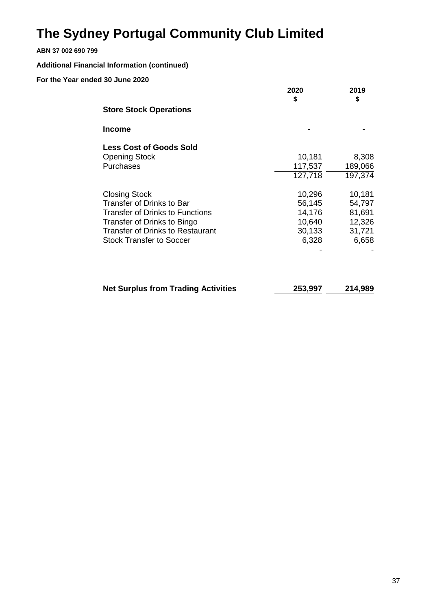### **ABN 37 002 690 799**

### **Additional Financial Information (continued)**

|                                        | 2020    | 2019    |
|----------------------------------------|---------|---------|
| <b>Store Stock Operations</b>          | \$      | \$      |
| <b>Income</b>                          |         |         |
| <b>Less Cost of Goods Sold</b>         |         |         |
| <b>Opening Stock</b>                   | 10,181  | 8,308   |
| Purchases                              | 117,537 | 189,066 |
|                                        | 127,718 | 197,374 |
| <b>Closing Stock</b>                   | 10,296  | 10,181  |
| <b>Transfer of Drinks to Bar</b>       | 56,145  | 54,797  |
| <b>Transfer of Drinks to Functions</b> | 14,176  | 81,691  |
| Transfer of Drinks to Bingo            | 10,640  | 12,326  |
| Transfer of Drinks to Restaurant       | 30,133  | 31,721  |
| <b>Stock Transfer to Soccer</b>        | 6,328   | 6,658   |
|                                        |         |         |

| <b>Net Surplus from Trading Activities</b> | 253,997 | 214,989 |
|--------------------------------------------|---------|---------|
|                                            |         |         |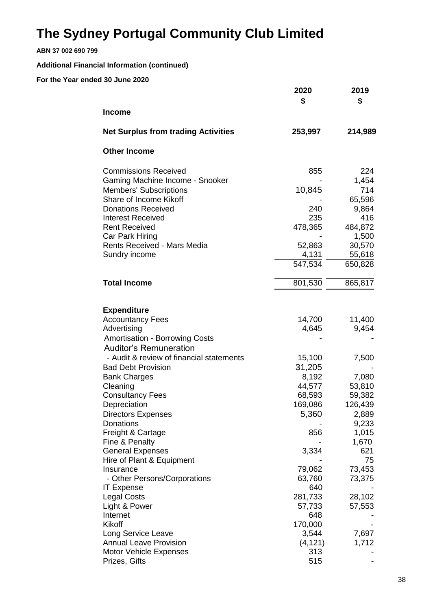**ABN 37 002 690 799**

### **Additional Financial Information (continued)**

|                                                      | 2020<br>\$ | 2019<br>\$   |
|------------------------------------------------------|------------|--------------|
| <b>Income</b>                                        |            |              |
| <b>Net Surplus from trading Activities</b>           | 253,997    | 214,989      |
| <b>Other Income</b>                                  |            |              |
| <b>Commissions Received</b>                          | 855        | 224          |
| Gaming Machine Income - Snooker                      |            | 1,454        |
| <b>Members' Subscriptions</b>                        | 10,845     | 714          |
| Share of Income Kikoff                               |            | 65,596       |
| <b>Donations Received</b>                            | 240        | 9,864        |
| <b>Interest Received</b>                             | 235        | 416          |
| <b>Rent Received</b>                                 | 478,365    | 484,872      |
| Car Park Hiring                                      |            | 1,500        |
| Rents Received - Mars Media                          | 52,863     | 30,570       |
| Sundry income                                        | 4,131      | 55,618       |
|                                                      | 547,534    | 650,828      |
| <b>Total Income</b>                                  | 801,530    | 865,817      |
|                                                      |            |              |
| <b>Expenditure</b>                                   |            |              |
| <b>Accountancy Fees</b>                              | 14,700     | 11,400       |
| Advertising                                          | 4,645      | 9,454        |
| <b>Amortisation - Borrowing Costs</b>                |            |              |
| <b>Auditor's Remuneration</b>                        |            |              |
| - Audit & review of financial statements             | 15,100     | 7,500        |
| <b>Bad Debt Provision</b>                            | 31,205     |              |
| <b>Bank Charges</b>                                  | 8,192      | 7,080        |
| Cleaning                                             | 44,577     | 53,810       |
| <b>Consultancy Fees</b>                              | 68,593     | 59,382       |
| Depreciation                                         | 169,086    | 126,439      |
| <b>Directors Expenses</b>                            | 5,360      | 2,889        |
| Donations                                            |            | 9,233        |
| Freight & Cartage                                    | 856        | 1,015        |
| Fine & Penalty                                       | 3,334      | 1,670<br>621 |
| <b>General Expenses</b><br>Hire of Plant & Equipment |            | 75           |
| Insurance                                            | 79,062     | 73,453       |
| - Other Persons/Corporations                         | 63,760     | 73,375       |
| <b>IT Expense</b>                                    | 640        |              |
| <b>Legal Costs</b>                                   | 281,733    | 28,102       |
| Light & Power                                        | 57,733     | 57,553       |
| Internet                                             | 648        |              |
| Kikoff                                               | 170,000    |              |
| Long Service Leave                                   | 3,544      | 7,697        |
| <b>Annual Leave Provision</b>                        | (4, 121)   | 1,712        |
| Motor Vehicle Expenses                               | 313        |              |
| Prizes, Gifts                                        | 515        |              |
|                                                      |            |              |